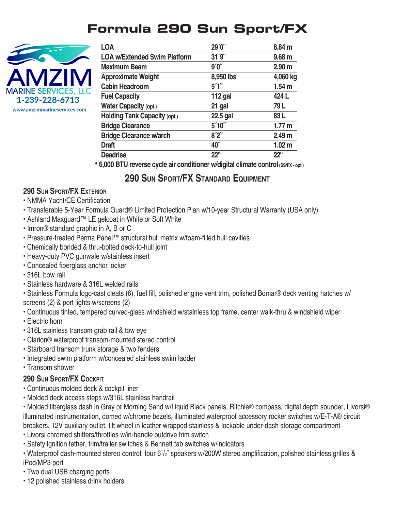# **Formula 290 Sun Sport/FX**



| <b>LOA</b>                          | 29'0''       | 8.84 m            |
|-------------------------------------|--------------|-------------------|
| <b>LOA w/Extended Swim Platform</b> | 31'9''       | 9.68 <sub>m</sub> |
| <b>Maximum Beam</b>                 | 9'0''        | 2.90 <sub>m</sub> |
| <b>Approximate Weight</b>           | 8,950 lbs    | 4,060 kg          |
| <b>Cabin Headroom</b>               | 5'1''        | 1.54 <sub>m</sub> |
| <b>Fuel Capacity</b>                | $112$ gal    | 424 L             |
| <b>Water Capacity (opt.)</b>        | 21 gal       | 79 L              |
| <b>Holding Tank Capacity (opt.)</b> | 22.5 gal     | 83 L              |
| <b>Bridge Clearance</b>             | 5'10''       | 1.77 m            |
| <b>Bridge Clearance w/arch</b>      | 8'2''        | 2.49 <sub>m</sub> |
| <b>Draft</b>                        | 40"          | 1.02 <sub>m</sub> |
| <b>Deadrise</b>                     | $22^{\circ}$ | $22^{\circ}$      |

 **• 6,000 BTU reverse cycle air conditioner w/digital climate control (SS/FX - opt.)**

## **290 Sun Sport/FX Standard EquipmEnt**

#### **290 Sun Sport/FX EXtErior**

- NMMA Yacht/CE Certification
- Transferable 5-Year Formula Guard® Limited Protection Plan w/10-year Structural Warranty (USA only)
- Ashland Maxguard™ LE gelcoat in White or Soft White
- Imron® standard graphic in A, B or C
- Pressure-treated Perma Panel™ structural hull matrix w/foam-filled hull cavities
- Chemically bonded & thru-bolted deck-to-hull joint
- Heavy-duty PVC gunwale w/stainless insert
- Concealed fiberglass anchor locker
- 316L bow rail
- Stainless hardware & 316L welded rails

• Stainless Formula logo-cast cleats (6), fuel fill, polished engine vent trim, polished Bomar® deck venting hatches w/ screens (2) & port lights w/screens (2)

- Continuous tinted, tempered curved-glass windshield w/stainless top frame, center walk-thru & windshield wiper
- Electric horn
- 316L stainless transom grab rail & tow eye
- Clarion® waterproof transom-mounted stereo control
- Starboard transom trunk storage & two fenders
- Integrated swim platform w/concealed stainless swim ladder
- Transom shower

#### **290 Sun Sport/FX CoCkpit**

- Continuous molded deck & cockpit liner
- Molded deck access steps w/316L stainless handrail

• Molded fiberglass dash in Gray or Morning Sand w/Liquid Black panels, Ritchie® compass, digital depth sounder, Livorsi® illuminated instrumentation, domed w/chrome bezels, illuminated waterproof accessory rocker switches w/E-T-A® circuit breakers, 12V auxiliary outlet, tilt wheel in leather wrapped stainless & lockable under-dash storage compartment

- Livorsi chromed shifters/throttles w/in-handle outdrive trim switch
- Safety ignition tether, trim/trailer switches & Bennett tab switches w/indicators

• Waterproof dash-mounted stereo control, four 6<sup>1</sup>/<sub>2</sub>" speakers w/200W stereo amplification, polished stainless grilles & iPod/MP3 port

- Two dual USB charging ports
- 12 polished stainless drink holders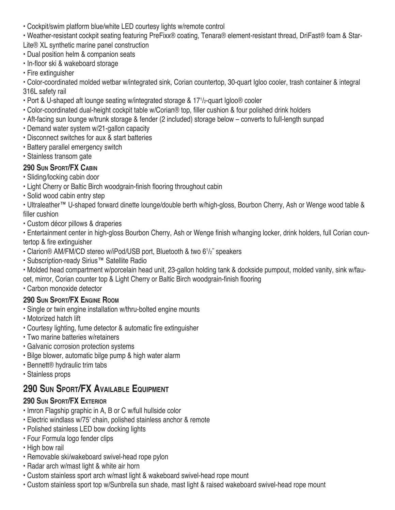• Cockpit/swim platform blue/white LED courtesy lights w/remote control

• Weather-resistant cockpit seating featuring PreFixx® coating, Tenara® element-resistant thread, DriFast® foam & Star-Lite® XL synthetic marine panel construction

- Dual position helm & companion seats
- In-floor ski & wakeboard storage
- Fire extinguisher

• Color-coordinated molded wetbar w/integrated sink, Corian countertop, 30-quart Igloo cooler, trash container & integral 316L safety rail

- Port & U-shaped aft lounge seating w/integrated storage & 171 /2-quart Igloo® cooler
- Color-coordinated dual-height cockpit table w/Corian® top, filler cushion & four polished drink holders
- Aft-facing sun lounge w/trunk storage & fender (2 included) storage below converts to full-length sunpad
- Demand water system w/21-gallon capacity
- Disconnect switches for aux & start batteries
- Battery parallel emergency switch
- Stainless transom gate

#### **290 Sun Sport/FX Cabin**

- Sliding/locking cabin door
- Light Cherry or Baltic Birch woodgrain-finish flooring throughout cabin
- Solid wood cabin entry step
- Ultraleather™ U-shaped forward dinette lounge/double berth w/high-gloss, Bourbon Cherry, Ash or Wenge wood table & filler cushion
- Custom décor pillows & draperies

• Entertainment center in high-gloss Bourbon Cherry, Ash or Wenge finish w/hanging locker, drink holders, full Corian countertop & fire extinguisher

- Clarion<sup>®</sup> AM/FM/CD stereo w/iPod/USB port, Bluetooth & two 6<sup>1</sup>/<sub>2</sub>" speakers
- Subscription-ready Sirius™ Satellite Radio
- Molded head compartment w/porcelain head unit, 23-gallon holding tank & dockside pumpout, molded vanity, sink w/faucet, mirror, Corian counter top & Light Cherry or Baltic Birch woodgrain-finish flooring
- Carbon monoxide detector

#### **290 Sun Sport/FX Engine Room**

- Single or twin engine installation w/thru-bolted engine mounts
- Motorized hatch lift
- Courtesy lighting, fume detector & automatic fire extinguisher
- Two marine batteries w/retainers
- Galvanic corrosion protection systems
- Bilge blower, automatic bilge pump & high water alarm
- Bennett® hydraulic trim tabs
- Stainless props

## **290 Sun Sport/FX Available Equipment**

#### **290 Sun Sport/FX Exterior**

- Imron Flagship graphic in A, B or C w/full hullside color
- Electric windlass w/75' chain, polished stainless anchor & remote
- Polished stainless LED bow docking lights
- Four Formula logo fender clips
- High bow rail
- Removable ski/wakeboard swivel-head rope pylon
- Radar arch w/mast light & white air horn
- Custom stainless sport arch w/mast light & wakeboard swivel-head rope mount
- Custom stainless sport top w/Sunbrella sun shade, mast light & raised wakeboard swivel-head rope mount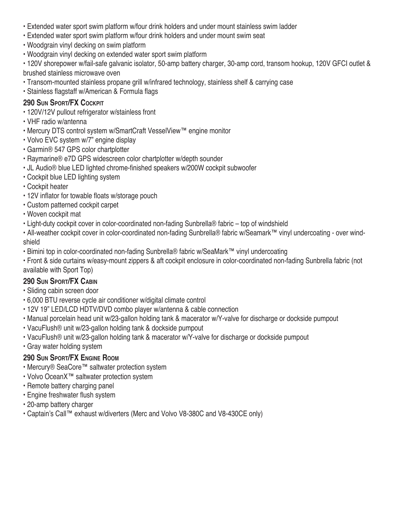- Extended water sport swim platform w/four drink holders and under mount stainless swim ladder
- Extended water sport swim platform w/four drink holders and under mount swim seat
- Woodgrain vinyl decking on swim platform
- Woodgrain vinyl decking on extended water sport swim platform

• 120V shorepower w/fail-safe galvanic isolator, 50-amp battery charger, 30-amp cord, transom hookup, 120V GFCI outlet & brushed stainless microwave oven

- Transom-mounted stainless propane grill w/infrared technology, stainless shelf & carrying case
- Stainless flagstaff w/American & Formula flags

#### **290 Sun Sport/FX Cockpit**

- 120V/12V pullout refrigerator w/stainless front
- VHF radio w/antenna
- Mercury DTS control system w/SmartCraft VesselView™ engine monitor
- Volvo EVC system w/7" engine display
- Garmin® 547 GPS color chartplotter
- Raymarine® e7D GPS widescreen color chartplotter w/depth sounder
- JL Audio® blue LED lighted chrome-finished speakers w/200W cockpit subwoofer
- Cockpit blue LED lighting system
- Cockpit heater
- 12V inflator for towable floats w/storage pouch
- Custom patterned cockpit carpet
- Woven cockpit mat
- Light-duty cockpit cover in color-coordinated non-fading Sunbrella® fabric top of windshield

• All-weather cockpit cover in color-coordinated non-fading Sunbrella® fabric w/Seamark™ vinyl undercoating - over windshield

• Bimini top in color-coordinated non-fading Sunbrella® fabric w/SeaMark™ vinyl undercoating

• Front & side curtains w/easy-mount zippers & aft cockpit enclosure in color-coordinated non-fading Sunbrella fabric (not available with Sport Top)

#### **290 Sun Sport/FX Cabin**

- Sliding cabin screen door
- 6,000 BTU reverse cycle air conditioner w/digital climate control
- 12V 19" LED/LCD HDTV/DVD combo player w/antenna & cable connection
- Manual porcelain head unit w/23-gallon holding tank & macerator w/Y-valve for discharge or dockside pumpout
- VacuFlush® unit w/23-gallon holding tank & dockside pumpout
- VacuFlush® unit w/23-gallon holding tank & macerator w/Y-valve for discharge or dockside pumpout
- Gray water holding system

#### **290 Sun Sport/FX Engine Room**

- Mercury® SeaCore™ saltwater protection system
- Volvo OceanX™ saltwater protection system
- Remote battery charging panel
- Engine freshwater flush system
- 20-amp battery charger
- Captain's Call™ exhaust w/diverters (Merc and Volvo V8-380C and V8-430CE only)